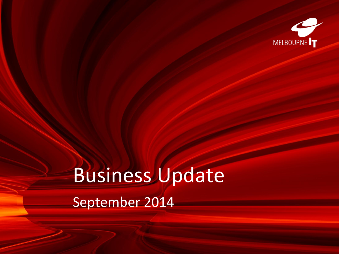

# Business Update September 2014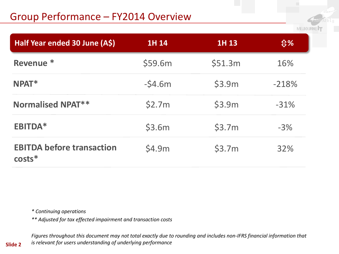## Group Performance – FY2014 Overview

MELBOURNE

| Half Year ended 30 June (A\$)                | 1H 14    | 1H 13   | <b><b>↓%</b></b> |
|----------------------------------------------|----------|---------|------------------|
| Revenue <sup>*</sup>                         | \$59.6m  | \$51.3m | 16%              |
| $N$ PAT $*$                                  | $-54.6m$ | \$3.9m  | $-218%$          |
| <b>Normalised NPAT**</b>                     | \$2.7m   | \$3.9m  | $-31%$           |
| <b>EBITDA*</b>                               | \$3.6m   | \$3.7m  | $-3%$            |
| <b>EBITDA before transaction</b><br>$costs*$ | \$4.9m   | \$3.7m  | 32%              |

*\* Continuing operations*

*\*\* Adjusted for tax effected impairment and transaction costs*

*Figures throughout this document may not total exactly due to rounding and includes non-IFRS financial information that is relevant for users understanding of underlying performance*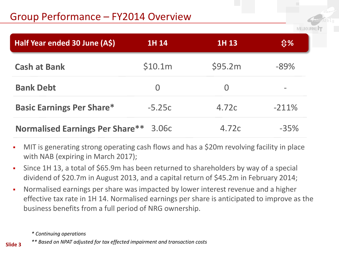MELBOURI

| Half Year ended 30 June (A\$)          | 1H 14    | 1H 13   | $\mathfrak{P}'$ |
|----------------------------------------|----------|---------|-----------------|
| <b>Cash at Bank</b>                    | \$10.1m  | \$95.2m | $-89%$          |
| <b>Bank Debt</b>                       | $\Omega$ |         |                 |
| <b>Basic Earnings Per Share*</b>       | $-5.25c$ | 4.72c   | $-211%$         |
| <b>Normalised Earnings Per Share**</b> | 3.06c    | 4.72c   | $-35%$          |

- MIT is generating strong operating cash flows and has a \$20m revolving facility in place with NAB (expiring in March 2017);
- Since 1H 13, a total of \$65.9m has been returned to shareholders by way of a special dividend of \$20.7m in August 2013, and a capital return of \$45.2m in February 2014;
- Normalised earnings per share was impacted by lower interest revenue and a higher effective tax rate in 1H 14. Normalised earnings per share is anticipated to improve as the business benefits from a full period of NRG ownership.

*<sup>\*</sup> Continuing operations*

*<sup>\*\*</sup> Based on NPAT adjusted for tax effected impairment and transaction costs*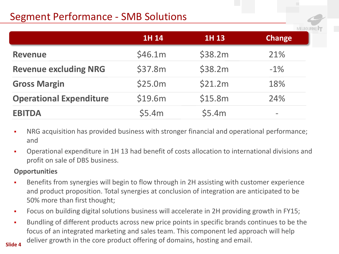# Segment Performance - SMB Solutions

|                                | 1H 14   | 1H 13   | <b>Change</b>                |
|--------------------------------|---------|---------|------------------------------|
| <b>Revenue</b>                 | \$46.1m | \$38.2m | 21%                          |
| <b>Revenue excluding NRG</b>   | \$37.8m | \$38.2m | $-1\%$                       |
| <b>Gross Margin</b>            | \$25.0m | \$21.2m | 18%                          |
| <b>Operational Expenditure</b> | \$19.6m | \$15.8m | 24%                          |
| <b>EBITDA</b>                  | \$5.4m  | \$5.4m  | $\qquad \qquad \blacksquare$ |

**MELBOL** 

- NRG acquisition has provided business with stronger financial and operational performance; and
- Operational expenditure in 1H 13 had benefit of costs allocation to international divisions and profit on sale of DBS business.

#### **Opportunities**

- Benefits from synergies will begin to flow through in 2H assisting with customer experience and product proposition. Total synergies at conclusion of integration are anticipated to be 50% more than first thought;
- Focus on building digital solutions business will accelerate in 2H providing growth in FY15;
- Bundling of different products across new price points in specific brands continues to be the focus of an integrated marketing and sales team. This component led approach will help deliver growth in the core product offering of domains, hosting and email.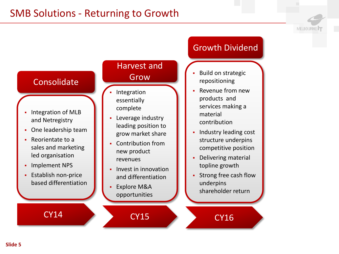### **Consolidate**

- **Integration of MLB** and Netregistry
- One leadership team
- Reorientate to a sales and marketing led organisation
- **-** Implement NPS
- **Establish non-price** based differentiation

#### Harvest and Grow

- Integration essentially complete
- **Leverage industry** leading position to grow market share
- **-** Contribution from new product revenues
- $\blacksquare$  Invest in innovation and differentiation
- Explore M&A opportunities

CY15

## Growth Dividend

MELBOURNE<sup>1</sup>

- Build on strategic repositioning
- Revenue from new products and services making a material contribution
- **Industry leading cost** structure underpins competitive position
- Delivering material topline growth
- Strong free cash flow underpins shareholder return

CY16

CY14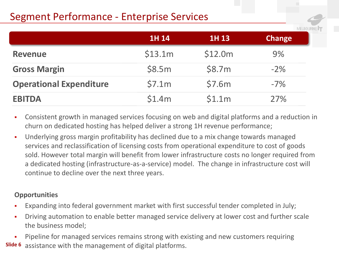## Segment Performance - Enterprise Services

|                                | <b>1H 14</b> | 1H 13   | <b>Change</b> |
|--------------------------------|--------------|---------|---------------|
| <b>Revenue</b>                 | \$13.1m      | \$12.0m | $9\%$         |
| <b>Gross Margin</b>            | \$8.5m       | \$8.7m  | $-2\%$        |
| <b>Operational Expenditure</b> | \$7.1m       | \$7.6m  | $-7\%$        |
| <b>EBITDA</b>                  | \$1.4m       | \$1.1m  | 27%           |

- Consistent growth in managed services focusing on web and digital platforms and a reduction in churn on dedicated hosting has helped deliver a strong 1H revenue performance;
- Underlying gross margin profitability has declined due to a mix change towards managed services and reclassification of licensing costs from operational expenditure to cost of goods sold. However total margin will benefit from lower infrastructure costs no longer required from a dedicated hosting (infrastructure-as-a-service) model. The change in infrastructure cost will continue to decline over the next three years.

#### **Opportunities**

- Expanding into federal government market with first successful tender completed in July;
- **•** Driving automation to enable better managed service delivery at lower cost and further scale the business model;

**Slide 6** assistance with the management of digital platforms. **Pipeline for managed services remains strong with existing and new customers requiring**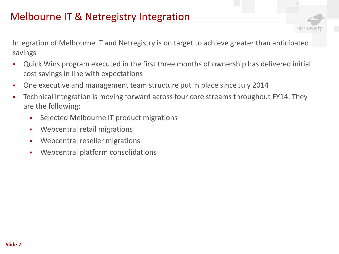Integration of Melbourne IT and Netregistry is on target to achieve greater than anticipated savings

MELBOURNI

- Quick Wins program executed in the first three months of ownership has delivered initial cost savings in line with expectations
- One executive and management team structure put in place since July 2014
- Technical integration is moving forward across four core streams throughout FY14. They are the following:
	- **Selected Melbourne IT product migrations**
	- **Webcentral retail migrations**
	- **Webcentral reseller migrations**
	- Webcentral platform consolidations